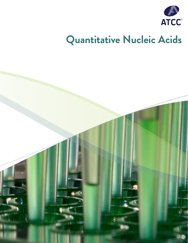

# **Quantitative Nucleic Acids**

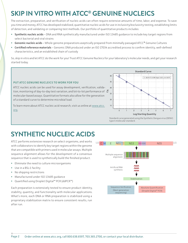## **SKIP IN VITRO WITH ATCC® GENUINE NUCLEICS**

The extraction, preparation, and verification of nucleic acids can often require extensive amounts of time, labor, and expense. To save you time and money, ATCC has developed stabilized, quantitative nucleic acids for use in inclusivity/exclusivity testing, establishing limits of detection, and validating or comparing test methods. Our portfolio of quantitative products includes:

- **Synthetic nucleic acids** DNA and RNA synthetically manufactured under ISO 13485 guidance to include key target regions from select bacterial and viral strains
- **Genomic nucleic acids** Whole genome preparations aseptically prepared from minimally passaged ATCC® Genuine Cultures
- **Certified reference materials** Genomic DNA produced under an ISO 17034 accredited process to confirm identity, well-defined characteristics, and an established chain of custody

So, skip in vitro and let ATCC do the work for you! Trust ATCC Genuine Nucleics for your laboratory's molecular needs, and get your research started today.

#### **PUT ATCC GENUINE NUCLEICS TO WORK FOR YOU**

ATCC nucleic acids can be used for assay development, verification, validation, monitoring of day-to-day test variation, and lot-to-lot performance of **Cq** molecular-based assays. Quantitative formats also allow for the generation of a standard curve to determine microbial load.

To learn more about ATCC nucleic acid research, visit us online at [www.atcc.](http://www.atcc.org) [org.](http://www.atcc.org)



### **SYNTHETIC NUCLEIC ACIDS**

ATCC performs extensive research on select organisms, and works with collaborators to identify key target regions within the genome that are compatible with primers used in molecular assays. Multiple sequence alignment allows for the development of a consensus sequence that is used to synthetically build the finished product.

- **Eliminate the need to culture microorganisms**
- Use in a BSL-1 facility
- No shipping restrictions
- Manufactured under ISO 13485 guidance
- Quantified using Droplet Digital™ PCR (ddPCR™)

Each preparation is extensively tested to ensure product identity, stability, quantity, and functionality with molecular applications. What's more, each DNA or RNA preparation is stabilized using a proprietary stabilization matrix to ensure consistent results, run after run.

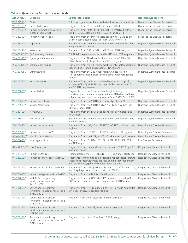#### **Table 1: Quantitative Synthetic Nucleic Acids**

| ATCC <sup>®</sup> No.  | <b>Organism</b>                                                             | <b>Source Information</b>                                                                                                                                                       | <b>Research Applications</b>      |
|------------------------|-----------------------------------------------------------------------------|---------------------------------------------------------------------------------------------------------------------------------------------------------------------------------|-----------------------------------|
| VR-3249SD™             | <b>BK</b> virus                                                             | Full length genome of BK virus derived from a plasmid clone                                                                                                                     | Blood-borne Disease Research      |
| VR-3233SD <sup>™</sup> | Hepatitis C virus                                                           | Fragments from 5'UTR and X-tail region (3'UTR)                                                                                                                                  | Blood-borne Disease Research      |
| VR-3247SD <sup>™</sup> | Human gammaherpesvirus 4<br>(Epstein-Barr virus)                            | Fragments from LMP2, BNRF-1, EBER-1, BAMH1W, EBNA-2,<br>BHRF-1, EBNA-1 Region, BXLF-1, BALF-5, and LMP-1                                                                        | Blood-borne Disease Research      |
| VR-3261SD™             | Human herpesvirus 8                                                         | Fragments from the minor capsid protein (ORF 26) and the<br>latency-associated nuclear antigen (LANA or ORF 73)                                                                 | Blood-borne Disease Research      |
| VR-3237SD™             | Sapovirus                                                                   | Fragments from the RNA-dependent RNA polymerase, VP1,<br>and polyprotein regions.                                                                                               | Digestive System Disease Research |
| VR-3238SD™             | Astrovirus                                                                  | Fragments from ORF1a, ORF1b, ORF2, and 3' UTR regions                                                                                                                           | Digestive System Disease Research |
| PRA-3000SD™            | Cyclospora cayetanensis                                                     | Full 18S rRNA gene sequence, and full ITS1 and ITS2 sequences                                                                                                                   | Digestive System Disease Research |
| PRA-3011SD™            | Cryptosporidium hominis                                                     | Fragments from 18s rRNA, heat shock protein 70 (hsp70),<br>COWP, GP60, dnaJ-like protein, and LIB13 regions                                                                     | Digestive System Disease Research |
| PRA-3007SD™            | Dientamoeba fragilis                                                        | Fragmetns from the 18S ribosomal RNA, internal transcribed<br>spacer 1 (ITS1), and 5.8S ribosomal RNA regions                                                                   | Digestive System Disease Research |
| PRA-3006SD™            | Giardia lamblia                                                             | Fragments from the 18S ribosomal RNA, beta-giardin,<br>triosephosphate isomerase, and glutamate dehydrogenase<br>regions.                                                       | Digestive System Disease Research |
| VR-3257SD™             | Hepatitis A virus                                                           | Fragments from the 5' untranslated region, viral capsid<br>proteins (VP1-4), self-cleaving peptide 2A, proteinase 3C,<br>and 3D RNA polymerase.                                 | Digestive System Disease Research |
| VR-3258SD™             | Hepatitis E virus                                                           | Fragments from the 5' untranslated region, methyl<br>transferase, Y domain, X domain, helicase, RNA-directed RNA<br>polymerase, and open reading frames 2 and 3 (ORF2 and ORF3) | Digestive System Disease Research |
| VR-3260SD™             | Human parechovirus 3                                                        | Fragments from the 5'UTR and the viral protein VP1.                                                                                                                             | Digestive System Disease Research |
| VR-3255SD™             | Murine Norovirus                                                            | Fragments from the 5'UTR, NS1/2, NS5, NS6, NS7, Gp1, VF1,<br>GP2, GP3, and 3'UTR                                                                                                | Digestive System Disease Research |
| VR-3234SD™             | Norovirus Gl                                                                | Fragments from the RNA-dependent RNA polymerase and<br>VP1 regions                                                                                                              | Digestive System Disease Research |
| VR-3235SD <sup>™</sup> | Norovirus Gll                                                               | Fragments from the RNA-dependent RNA polymerase, VP1,<br>and VP2 regions                                                                                                        | Digestive System Disease Research |
| VR-3264SD™             | Human herpesvirus 6                                                         | Fragments from U31, U38, U57, U65/U66, U67, U90, and U94<br>regions                                                                                                             | Neurological Disease Research     |
| VR-3265SD™             | Human herpesvirus 7                                                         | Fragments from U10, U31, U38, U39, U42, and U57 regions                                                                                                                         | Neurological Disease Research     |
| BAA-4009SD™            | Mycobacterium leprae                                                        | Fragments from the RLEP, Ag85B, 16S rRNA, and rpoB regions                                                                                                                      | Neurological Disease Research     |
| VR-3270SD <sup>™</sup> | Monkeypox virus                                                             | Fragments from J2L, D14L, F3L, F8L, A27L, A29L, B6R, B7R,<br>and N3R regions                                                                                                    | Pox Disease Research              |
| BAA-4000SD™            | Coxiella burnetii                                                           | Fragments from the com1, icd, transposase (IS1111A), gyrA,<br>and sodB regions                                                                                                  | Respiratory Disease Research      |
| VR-3251SD <sup>™</sup> | Human bocavirus                                                             | Fragments from the 5'UTR, NS1, NP1, VP1, VP2, and 3' UTR genes.                                                                                                                 | Respiratory Disease Research      |
| VR-3262SD™             | Human coronavirus strain HKU1                                               | Fragments from from the acidic tandem repeat region, growth<br>factor-like protein, NTPase/helicase domain, RNA-dependent<br>RNA polymerase, spike, and nucleocapsid regions    | Respiratory Disease Research      |
| VR-3263SD™             | Human coronavirus strain NL63                                               | Fragments from NSP3 (ORF 1A), Rdrp (nsp12), NTPase (nsp13),<br>nsp16, spike protein, nucleocapsid, and 3' UTR                                                                   | Respiratory Disease Research      |
| VR-3250SD™             | Human metapneumovirus (hMPV)                                                | Fragments from the N, P, M, F, and L genes                                                                                                                                      | Respiratory Disease Research      |
| VR-3248SD™             | Middle East respiratory<br>syndrome coronavirus<br>(MERS-CoV)               | Fragments from the ORF1ab, ORF5, upper envelope (upE),<br>ORF8b, nucleocapsid (N) protein gene, and 3' UTR regions                                                              | Respiratory Disease Research      |
| VR-3276SD™             | Severe acute respirtory<br>syndrome-related coronavirus 2<br>$(SARS-CoV-2)$ | Fragments from ORF 1ab (including ORF-1b-nsp14 and RdRp),<br>Envelope, and Nucleocapsid regions.                                                                                | Respiratory Disease Research      |
| VR-3277SD™             | Severe acute respirtory<br>syndrome-related coronavirus 2<br>$(SARS-CoV-2)$ | Fragment from the 5' Glycoprotein (Spike) region                                                                                                                                | Respiratory Disease Research      |
| VR-3278SD™             | Severe acute respirtory<br>syndrome-related coronavirus 2<br>(SARS-CoV-2)   | Fragment from the 3' Glycoprotein (Spike) region                                                                                                                                | Respiratory Disease Research      |
| VR-3279SD™             | Severe acute respirtory<br>syndrome-related coronavirus 2<br>(SARS-CoV-2)   | Fragment from the nsp9 and nsp12 (RdRp) regions.                                                                                                                                | Respiratory Disease Research      |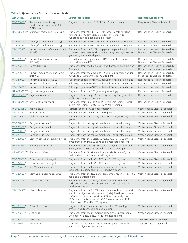#### **Table 1: Quantitative Synthetic Nucleic Acids**

| ATCC <sup>®</sup> No.   | <b>Organism</b>                                                      | <b>Source Information</b>                                                                                                                                                                                                                                                     | <b>Research Applications</b>                                   |
|-------------------------|----------------------------------------------------------------------|-------------------------------------------------------------------------------------------------------------------------------------------------------------------------------------------------------------------------------------------------------------------------------|----------------------------------------------------------------|
| VR-3280SD™              | Severe acute respirtory<br>syndrome coronavirus [2003]<br>(SARS-CoV) | Fragment from the nsp9 (RdRp), nsp11 and N regions.                                                                                                                                                                                                                           | Respiratory Disease Research                                   |
| BAA-4001SD™             | Chlamydia trachomatis LGV Type 1                                     | Fragments from MOMP, 16S rRNA, pmpH, dnaB, putative<br>virulence plasmid integrase regions, and conserved<br>hypothetical virulence plasmid protein                                                                                                                           | Reproductive Health Research                                   |
| BAA-4002SD™             | Chlamydia trachomatis LGV Type 2                                     | Fragments from MOMP, 16S rRNA, pmpH and dnaB regions                                                                                                                                                                                                                          | Reproductive Health Research                                   |
| BAA-4003SD™             | Chlamydia trachomatis LGV Type 3                                     | Fragments from MOMP, 16S rRNA, pmpH and dnaB regions                                                                                                                                                                                                                          | Reproductive Health Research                                   |
| VR-3245SD™              | Human immunodeficiency virus 1<br>$(HIV-1)$                          | Fragments from the 5' LTR, gag gene, polgene (including<br>protease, reverse transcriptase, and integrase regions), tat<br>gene, rev gene, and nef gene.                                                                                                                      | Reproductive Health Research &<br>Blood-borne Disease Research |
| VR-3259SD™              | Human T-cell leukemia virus 2<br>$(HTLV-2)$                          | Proviral genome sequence of HTLV-2 except the long<br>terminal repeats (LTRs)                                                                                                                                                                                                 | Reproductive Health Research &<br>Blood-borne Disease Research |
| VR-3232SD™              | Hepatitis B virus                                                    | Fragments from the highly conserved precore, core, P, S and<br>X regions                                                                                                                                                                                                      | Reproductive Health Research &<br>Blood-borne Disease Research |
| VR-3266SD <sup>™</sup>  | Human immunodeficiency virus<br>$2(HIV-2)$                           | Fragments from the envelope (ENV), group specific antigen<br>(GAG) and DNA polymerase (POL) regions                                                                                                                                                                           | Reproductive Health Research &<br>Blood-borne Disease Research |
| VR-3240SD™              | Human papillomavirus 16                                              | Full length genome of HPV 16 derived from a plasmid clone                                                                                                                                                                                                                     | Reproductive Health Research                                   |
| VR-3241SD™              | Human papillomavirus 18                                              | Full length genome of HPV 18 derived from a plasmid clone                                                                                                                                                                                                                     | Reproductive Health Research                                   |
| VR-3256SD <sup>™</sup>  | Human papillomavirus 31                                              | Full length genome of HPV 31 derived from a plasmid clone                                                                                                                                                                                                                     | Reproductive Health Research                                   |
| BAA-2641SD™             | Mycoplasma genitalium                                                | Fragments from the 16S gene, mgpA, and gap                                                                                                                                                                                                                                    | Reproductive Health Research                                   |
| BAA-2642SD <sup>™</sup> | Treponema pallidum                                                   | Fragments from the polA, tpr, 23S gene, arp, 16S gene, flaA,<br>47kDa protein gene, and bmp                                                                                                                                                                                   | Reproductive Health Research                                   |
| BAA-4004SD™             | Ureaplasma urealyticum                                               | Fragments from 16S rRNA, ureA, intergenic region 1, ureB,<br>intergenic region 2, ureC, ureG, and MBA regions                                                                                                                                                                 | Reproductive Health Research                                   |
| <b>PRA-3008SD</b>       | Babesia canis                                                        | Partial sequence of 18S ribosomal RNA                                                                                                                                                                                                                                         | Vector-borne Disease Research                                  |
| VR-3272SD™              | Bourbon virus                                                        | Fragments from the PB1 and NP regions                                                                                                                                                                                                                                         | Vector-borne Disease Research                                  |
| VR-3246SD™              | Chikungunya virus                                                    | Fragments from the 5' UTR, nsP1, nsP2, nsP3, nsP4, E2, and E1<br>genes                                                                                                                                                                                                        | Vector-borne Disease Research                                  |
| VR-3228SD™              | Dengue virus type 1                                                  | Fragments from the capsid, membrane, and envelope regions                                                                                                                                                                                                                     | Vector-borne Disease Research                                  |
| VR-3229SD™              | Dengue virus type 2                                                  | Fragments from the capsid, membrane, and envelope regions                                                                                                                                                                                                                     | Vector-borne Disease Research                                  |
| VR-3230SD™              | Denque virus type 3                                                  | Fragments from the capsid, membrane, and envelope regions                                                                                                                                                                                                                     | Vector-borne Disease Research                                  |
| VR-3231SD™              | Dengue virus type 4                                                  | Fragments from the capsid, membrane, and envelope regions                                                                                                                                                                                                                     | Vector-borne Disease Research                                  |
| VR-3239SD™              | Eastern equine encephalitis virus                                    | Fragments from the capsid, NSP1, NSP3, 3' UTR, E1 envelope<br>glycoprotein, and the E2 envelope glycoprotein regions                                                                                                                                                          | Vector-borne Disease Research                                  |
|                         | PRA-3001SD™ Plasmodium malariae                                      | Fragments from the 18S rRNA gene, UTR, cyclooxygenase 1<br>and 3 (Cox1 & Cox3), and Cytochrome B (Cytb) region                                                                                                                                                                | Vector-borne Disease Research                                  |
|                         | PRA-3004SD™ Plasmodium vivax                                         | Fragments from 18s rRNA, mitochondrial DNA, cox3, cox1,<br>cytB, and Aspartic protease PM4 regions                                                                                                                                                                            | Vector-borne Disease Research                                  |
| VR-3273SD™              | Powassan virus lineage I                                             | Fragments from the E, NS1, NS5, and 3' UTR regions.                                                                                                                                                                                                                           | Vector-borne Disease Research                                  |
| VR-3275SD™              | Powassan virus lineage II                                            | Fragments from the E, NS1, NS5, and 3' UTR regions.                                                                                                                                                                                                                           | Vector-borne Disease Research                                  |
| VR-3254SD™              | Rift Valley fever virus                                              | Fragments from the long, medium, and small genome<br>segments, including the Gn, Nss, and Nsm genes                                                                                                                                                                           | Vector-borne Disease Research                                  |
| VR-3236SD™              | Saint Louis encephalitis virus                                       | Fragments from the NS1 gene, premembrane, envelope, NS5<br>gene, and 3' UTR regions                                                                                                                                                                                           | Vector-borne Disease Research                                  |
|                         | PRA-3012SD™ Trypanosoma cruzi                                        | Fragments from 18S rRNA, Kinetoplast minicircle, and<br>Lathosterol oxidase (TcSC5D) regions, and a full-length<br>satellite sequence.                                                                                                                                        | Vector-borne Disease Research                                  |
| VR-3274SD™              | West Nile virus                                                      | Fragments from the 5' UTR, capsid, anchored capsid protein,<br>membrane glycoprotein precursor (prM), Envelope protein<br>(ENV), Nonstructural protein NS1, Nonstructural protein<br>NS2A, Nonstructural protein NS3, RNA-dependent RNA<br>polymerase NS5 and 3' UTR regions. | Vector-borne Disease Research                                  |
| VR-3253SD™              | Yellow fever virus                                                   | Fragments from the capsid protein C, Pre-M, Envelope<br>protein, NS1, NS2A, NS3, and NS5 regions.                                                                                                                                                                             | Vector-borne Disease Research                                  |
| VR-3252SD™              | Zika virus                                                           | Fragments from the membrane glycoprotein precursor M,<br>Envelope, NS1, NS2B, NS3, NS4B, and NS5 regions                                                                                                                                                                      | Vector-borne Disease Research                                  |
| VR-3268SD™              | Lassa virus                                                          | Fragments from 5' UTR and glycoprotein regions                                                                                                                                                                                                                                | Zoonotic Disease Research                                      |
| VR-3269SD <sup>™</sup>  | Nipah virus                                                          | Complete nucleocapsid protein and fragments from the<br>matrix and glycoprotein regions                                                                                                                                                                                       | Zoonotic Disease Research                                      |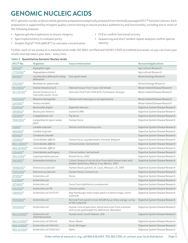## **GENOMIC NUCLEIC ACIDS**

ATCC genomic nucleic acids are whole genome preparations aseptically prepared from minimally passaged ATCC® Genuine Cultures. Each preparation is supported by stringent quality control testing to ensure product authenticity and functionality, including one or more of the following analyses:

- Agarose gel electrophoresis to ensure integrity
- **Spectrophotometry to evaluate purity**
- Droplet Digital™ PCR (ddPCR™) to calculate concentration
- **PCR** to confirm functional activity
- Sequencing and short tandem repeat analyses confirm species identity

Further, each of our products is manufactured under ISO 9001 certified and ISO/IEC 17025 accredited processes, so you can trust your results and reproduce your data – every time.

#### **Table 2: Quantitative Genomic Nucleic Acids**

| ATCC <sup>®</sup> No. | Organism                                        | <b>Source Information</b>                                                                                | <b>Research Applications</b>          |
|-----------------------|-------------------------------------------------|----------------------------------------------------------------------------------------------------------|---------------------------------------|
| 1015DQ™               | Aspergillus niger                               |                                                                                                          | Agricultural Research                 |
| 177525DQ™             | Megasphaera elsdenii                            |                                                                                                          | Agricultural Research                 |
| 9649DQ™               | Lactobacillus delbrueckii subsp.<br>delbrueckii | Sour grain mash                                                                                          | Biotechnology Research                |
| 17023DQ™              | Rhodobacter sphaeroides                         |                                                                                                          | Biotechnology Research                |
| VR-538DQ™             | Human herpesvirus 5                             | Adenoid tissue from 7-year-old female                                                                    | Blood-related Disease Research        |
| VR-1367DQ™            | Human herpesvirus 3<br>(Varicella-zoster virus) | Vesicular fluid from child with chickenpox; Georgia                                                      | Blood-related Disease Research        |
| 700532DQ™             | Neisseria meningitidis                          | Patient with meningococcal septicaemia                                                                   | Blood-related Disease Research        |
| 12453DQ™              | Proteus mirabilis                               |                                                                                                          | <b>Blood-related Disease Research</b> |
| 25285DQ™              | Bacteroides fragilis                            | Appendix abscess                                                                                         | Digestive System Disease Research     |
| 50608DQ™              | Blastocystis hominis                            | Isolated 1986                                                                                            | Digestive System Disease Research     |
| 33559DQ™              | Campylobacter coli                              | Pig feces                                                                                                | Digestive System Disease Research     |
| 700819DQ™             | Campylobacter jejuni subsp.<br>jejuni           | Human feces                                                                                              | Digestive System Disease Research     |
| 750DQ™                | Candida tropicalis                              | Patient with bronchomycosis                                                                              | Digestive System Disease Research     |
| 66029DQ™              | Candida tropicalis                              |                                                                                                          | Digestive System Disease Research     |
| 8090DQ™               | Citrobacter freundii                            |                                                                                                          | Digestive System Disease Research     |
| 43598DQ™              | Clostridioides difficile                        | Human feces, asymptomatic neonate, Belgium                                                               | Digestive System Disease Research     |
| BAA-1382DQ™           | Clostridioides difficile                        | Clinical isolate; Switzerland                                                                            | Digestive System Disease Research     |
| BAA-1870DQ™           | Clostridioides difficile                        |                                                                                                          | Digestive System Disease Research     |
| 13124DQ™              | Clostridioides perfringens                      | Clinical isolate, Switzerland                                                                            | Digestive System Disease Research     |
| PRA-67DQ™             | Cryptosporidium parvum                          | Animal feces; 2002                                                                                       | Digestive System Disease Research     |
| 30459DQ™              | Entamoeba histolytica                           | Colonic biopsy of rectal ulcer from adult human male with<br>amebic dysentery; Mexico City, Mexico, 1967 | Digestive System Disease Research     |
| 700802DQ™             | Enterococcus faecalis                           | Human blood, patient, St. Louis, Missouri, US, 1987                                                      | Digestive System Disease Research     |
| 700221DQ™             | Enterococcus faecium                            | Human feces, Connecticut                                                                                 | Digestive System Disease Research     |
| 8739DQ™               | Escherichia coli                                | Feces                                                                                                    | Digestive System Disease Research     |
| 11229DQ™              | Escherichia coli                                |                                                                                                          | Digestive System Disease Research     |
| 10798DQ™              | Escherichia coli                                | Feces from diphtheria convalescent                                                                       | Digestive System Disease Research     |
| 25922DQ™              | Escherichia coli 06                             | Clinical isolate                                                                                         | Digestive System Disease Research     |
| 43895DQ™              | Escherichia coli 0157:H7                        | Raw hamburger meat implicated in a hemorrhagic colitis<br>outbreak                                       | Digestive System Disease Research     |
| 700926DQ™             | Escherichia coli                                | Derived from parent strain W1485 by acridine orange curing<br>of the F plasmid                           | Digestive System Disease Research     |
| 700928DQ™             | Escherichia coli                                | Human clinical specimen, blood and urine from a women<br>with acute pyelonephritis, Baltimore, Maryland  | Digestive System Disease Research     |
| BAA-2192DQ™           | Escherichia coli<br>0145:Nonmotile              | Human stool, South Dakota, USA                                                                           | Digestive System Disease Research     |
| BAA-2193DQ™           | Escherichia coli 045:H2                         | Stool, Maine                                                                                             | Digestive System Disease Research     |
| BAA-2196DQ™           | Escherichia coli O26:H11                        | Stool, Michigan                                                                                          | Digestive System Disease Research     |
| BAA-2215DQ™           | Escherichia coli 0103:H11                       | Idaho                                                                                                    | Digestive System Disease Research     |

O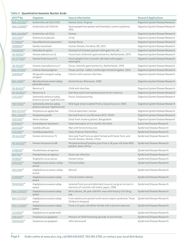| ATCC <sup>®</sup> No. | Organism                                                   | <b>Source Information</b>                                                                                   | <b>Research Applications</b>      |
|-----------------------|------------------------------------------------------------|-------------------------------------------------------------------------------------------------------------|-----------------------------------|
| BAA-2219DQ™           | Escherichia coli 0121:H19                                  | Human stool, Virginia                                                                                       | Digestive System Disease Research |
| BAA-2326DQ™           | Escherichia coli 0104:H4                                   | Stool sample from patient with hemolytic uremic syndrome,<br>2011                                           | Digestive System Disease Research |
| BAA-2440DQ™           | Escherichia coli 0111                                      | Human                                                                                                       | Digestive System Disease Research |
| 29212DQ™              | Enterococcus faecalis                                      | Urine                                                                                                       | Digestive System Disease Research |
| 27766DQ™              | Faecalibacterium prausnitzii                               | Human feces                                                                                                 | Digestive System Disease Research |
| 30888DQ™              | Giardia intestinalis                                       | Human female, Portland, OR, 1971                                                                            | Digestive System Disease Research |
| 700392DQ™             | Helicobacter pylori                                        | Stomach of a human patient with gastritis; UK                                                               | Digestive System Disease Research |
| VR-930DQ™             | Human adenovirus 41                                        | Feces from child with gastroenteritis, Netherlands, 1973                                                    | Digestive System Disease Research |
| VR-1775DQ™            | Human Enterovirus 71                                       | Stool sample from 2-month-old male with aseptic<br>meningitis                                               | Digestive System Disease Research |
| VR-931DQ™             | Human mastadenovirus F                                     | Feces, infantile gastroenteritis, Netherlands, 1979                                                         | Digestive System Disease Research |
| BAA-679DQ™            | Listeria monocytogenes                                     | Tissue, animal - rabbit, Cambridge United Kingdom, 1924                                                     | Digestive System Disease Research |
| 25830DQ™              | Morganella morganii subsp.<br>morganii                     | Patient with summer diarrhea                                                                                | Digestive System Disease Research |
| <b>BAA-968D™</b>      | Mycobacterium avium subsp.<br>paratuberculosis             | Animal feces; Wisconsin, 1990                                                                               | Digestive System Disease Research |
| VR-824DQ™             | Reovirus 3                                                 | Child with diarrhea                                                                                         | Digestive System Disease Research |
| VR-2018DQ™            | Rotavirus A                                                | Diarrhea stool from patient positive for rotavirus                                                          | Digestive System Disease Research |
| 13311DQ™              | Salmonella enterica subsp.<br>enterica serovar Typhimurium | Feces, food poisoning                                                                                       | Digestive System Disease Research |
| 700720DQ™             | Salmonella enterica subsp.<br>enterica serovar Typhimurium | Wild type strain isolated from a natural source; 1948                                                       | Digestive System Disease Research |
| BAA-611DQ™            | Streptococcus agalacitae                                   | Clinical specimen, Human                                                                                    | Digestive System Disease Research |
| PRA-310DQ™            | Toxoplasma gondii                                          | Derived from in vivo RH strain ATCC 50174                                                                   | Digestive System Disease Research |
| 39315DQ™              | Vibrio cholerae                                            | Stool from cholera patient, Bangladesh                                                                      | Digestive System Disease Research |
| 17978DQ™              | Acinetobacter baumannii                                    | Fatal meningitis of a 4-month old infant                                                                    | Epitermal Disease Research        |
| 10231DQ™              | Candida albicans                                           | Man with bronchomycosis                                                                                     | Epidermal Disease Research        |
| 22019DQ™              | Candida parapsilosis                                       | Case of sprue, Puerto Rico                                                                                  | Epidermal Disease Research        |
| VR-1432DQ™            | Human enterovirus 71                                       | Vesicular fluid from an adult female with hand, foot, and<br>mouth disease, Wuhan, China.                   | Epidermal Disease Research        |
| VR-1467DQ™            | Human herpesvirus 6B                                       | Peripheral blood lymphocytes from a 36 year-old male AIDS<br>patient, Zaire, Africa                         | Epidermal Disease Research        |
| 47085DQ™              | Pseudomonas aeruginosa                                     |                                                                                                             | Epidermal Disease Research        |
| 9027DQ™               | Pseudomonas aeruginosa                                     | Outer ear infection                                                                                         | Epidermal Disease Research        |
| 6538DQ™               | Staphyloccocus aureus                                      | Human lesion                                                                                                | Epidermal Disease Research        |
| 25923DQ™              | Staphylococcus aureus subsp.<br>aureus                     | Clinical Isolate                                                                                            | Epidermal Disease Research        |
| 29213DQ™              | Staphylococcus aureus subsp.<br>aureus                     | Wound                                                                                                       | Epidermal Disease Research        |
| 43300DQ™              | Staphylococcus aureus subsp.<br>aureus                     | Clinical isolate, Kansas                                                                                    | Epidermal Disease Research        |
| 700699DQ™             | Staphylococcus aureus subsp.<br>aureus                     | Isolated from pus and debrided tissue at surgical incision in<br>sternum of 4 month-old infant; Japan, 1996 | Epidermal Disease Research        |
| BAA-1556DQ™           | Staphylococcus aureus subsp.<br>aureus                     | Wrist abcess, 36-year-old HIV+ man with history of IV drug<br>use                                           | Epidermal Disease Research        |
| BAA-1717DQ™           | Staphylococcus aureus subsp.<br>aureus                     | From adolescent patient with severe sepsis syndrome; Texas<br>Children's Hospital                           | Epidermal Disease Research        |
| BAA-1718DQ™           | Staphylococcus aureus subsp.<br>aureus                     | From a 12-year-old white female with a buttock abscess                                                      | Epidermal Disease Research        |
| 12228DQ™              | Staphylococcus epidermidis                                 |                                                                                                             | Epidermal Disease Research        |
| 19615DQ™              | Streptococcus pyogenes                                     | Pharynx of child following episode of sore throat.                                                          | Epidermal Disease Research        |
| 700294DQ™             | Streptococcus pyogenes                                     | Infected wound                                                                                              | Epidermal Disease Research        |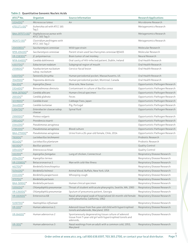| ATCC <sup>®</sup> No.  | Organism                                       | <b>Source Information</b>                                                                                                       | <b>Research Applications</b>    |
|------------------------|------------------------------------------------|---------------------------------------------------------------------------------------------------------------------------------|---------------------------------|
| 10240DQ™               | Micrococcus luteus                             | Air                                                                                                                             | Microbiome Research             |
| 47011T1-DQ™            | Escherichia coli with ATCC 16S<br>Tag 1        |                                                                                                                                 | Metagenomics Research           |
| BAA-2975T3-DQ™         | Staphylococcus aureus with<br>ATCC 16S Tag 3   |                                                                                                                                 | Metagenomics Research           |
| 3624T2-DQ™             | Clostridium perfringens with<br>ATCC 16S Tag 2 |                                                                                                                                 | Metagenomics Research           |
| 204508DQ™              | Saccharomyces cerevisiae                       | Wild type strain                                                                                                                | Molecular Research              |
| MYA-4941DQ™            | Saccharomyces cerevisiae                       | Parent strain used Saccharoymes cerevisiae BJ5465                                                                               | Molecular Research              |
| VR-1583DQ™             | JC polyomavirus                                | Brain tumor of owl monkey                                                                                                       | Neural Research                 |
| MYA-646DQ™             | Candida dubliniensis                           | Oral cavity of HIV-infected patient, Dublin, Ireland                                                                            | Oral Health Research            |
| 43037DQ™               | Eubacterium nodatum                            | Subgingival region of mouth                                                                                                     | Oral Health Research            |
| 25586DQ™               | Fusobacterium nucleatum<br>subsp. nucleatum    | Cervico-facial lesion                                                                                                           | Oral Health Research            |
| 43037DQ™               | Tannerella forsythia                           | Human periodontal pocket, Massachusetts, US                                                                                     | Oral Health Research            |
| 35405DQ™               | Treponema denticola                            | Human periodontal pocket, Montreal, Canada                                                                                      | Oral Health Research            |
| 9643DQ™                | Aspergillus flavus                             | Shoe sole, New Guinea                                                                                                           | Opportunistic Pathogen Research |
| 19146DQ™               | Brevundimonas diminuta                         | Contaminant in culture of Bacillus cereus                                                                                       | Opportunistic Pathogen Research |
| MYA-2876DQ™            | Candida albicans                               | Human clinical specimen                                                                                                         | Opportunistic Pathogen Research |
| 2001DQ™                | Candida glabrata                               | Feces                                                                                                                           | Opportunistic Pathogen Research |
| 32196DQ™               | Candida krusei                                 | Cabbage frass, Japan                                                                                                            | Opportunistic Pathogen Research |
| 34449DQ™               | Candida lusitaniae                             | Pig, Portugal                                                                                                                   | Opportunistic Pathogen Research |
| 13047DQ™               | Enterobacter cloacae subsp.<br>cloacae         | Spinal fluid                                                                                                                    | Opportunistic Pathogen Research |
| 29905DQ™               | Proteus vulgaris                               |                                                                                                                                 | Opportunistic Pathogen Research |
| 29914DQ™               | Providencia stuartii                           |                                                                                                                                 | Opportunistic Pathogen Research |
| 15442DQ™               | Pseudomonas aeruginosa                         |                                                                                                                                 | Opportunistic Pathogen Research |
| 27853DQ™               | Pseudomonas aeruginosa                         | Blood culture                                                                                                                   | Opportunistic Pathogen Research |
| BAA-2793DQ™            | Pseudomonas aeruginosa                         | Urine from a 26-year-old female, Chile, 2014                                                                                    | Opportunistic Pathogen Research |
| 7830DQ™                | Lactobacillus leichmannii                      |                                                                                                                                 | Probiotic Research              |
| 8014DQ™                | Lactobacillus plantarum                        |                                                                                                                                 | Probiotic Research              |
| 6633DQ™                | Bacillus spizizenii                            |                                                                                                                                 | Quality Control                 |
| 10541DQ™               | Enterococcus hiraei                            |                                                                                                                                 | Quality Control                 |
| 1022DQ™                | Aspergillus fumigatus                          | Lung of chicken, Connecticut                                                                                                    | Respiratory Disease Research    |
| 20542DQ™               | Aspergillus terreus                            |                                                                                                                                 | Respiratory Disease Research    |
| VR-1558DQ™             | Betacoronavirus 1                              | Man with cold-like illness                                                                                                      | Respiratory Disease Research    |
| 4617DQ™                | Bordetella bronchiseptica                      |                                                                                                                                 | Respiratory Disease Research    |
| 51541DQ™               | Bordetella holmesii                            | Animal blood, Buffalo, New York, USA                                                                                            | Respiratory Disease Research    |
| 15311DQ™               | Bordetella parapertussis                       | Whooping cough                                                                                                                  | Respiratory Disease Research    |
| 9797DQ™                | Bordetella pertussis                           |                                                                                                                                 | Respiratory Disease Research    |
| BAA-589DQ™             | Bordetella pertussis                           | Human clinical specimen                                                                                                         | Respiratory Disease Research    |
| 53592DQ™               | Chlamydophila pneumoniae                       | Throat of student with acute pharyngitis, Seattle, WA, 1983                                                                     | Respiratory Disease Research    |
| VR-1360DQ™             | Chlamydophila pneumoniae                       | Sputum of pneumonia patient, Georgia                                                                                            | Respiratory Disease Research    |
| VR-1826DQ™             | Enterovirus 68                                 | Nasal-pharyngeal swab of hospitalized 10-month-old female<br>with pneumonia, California, 1962                                   | Respiratory Disease Research    |
| 51907DQ™               | Haemophilus influenaze                         |                                                                                                                                 | Respiratory Disease Research    |
| $VR-1DQ^{\mathsf{TM}}$ | Human adenovirus 1                             | Adenoid tissue from five-year-old child with hypertrophied<br>tonsils and adenoids, Maryland, 1953                              | Respiratory Disease Research    |
| VR-846DQ™              | Human adenovirus 2                             | Spontaneously degenerating tissue culture of adenoid<br>tissue from 7-year-old girl with hypertrophied tonsils and<br>adenoids. | Respiratory Disease Research    |
| VR-3DQ™                | Human adenovirus 3                             | Nasal washings from an adult with a common cold, 1953,<br>Maryland                                                              | Respiratory Disease Research    |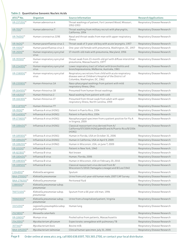| ATCC <sup>®</sup> No. | <b>Organism</b>                              | <b>Source Information</b>                                                                                                                             | <b>Research Applications</b> |
|-----------------------|----------------------------------------------|-------------------------------------------------------------------------------------------------------------------------------------------------------|------------------------------|
| VR-1572DQ™            | Human adenovirus 4                           | Throat washings of patient, Fort Leonard Wood, Missouri,<br>1952-1953                                                                                 | Respiratory Disease Research |
| VR-7DQ™               | Human adenovirus 7                           | Throat washing from military recruit with pharyngitis,<br>California, 1954                                                                            | Respiratory Disease Research |
| VR-740DQ™             | Human coronavirus 229E                       | Nasal and throat swabs from man with upper respiratory<br>illness                                                                                     | Respiratory Disease Research |
| VR-94DQ™              | Human parainfluenza virus 1                  | Throat swab of 3-year-old boy with acute laryngitis, 1957                                                                                             | Respiratory Disease Research |
| VR-93DQ™              | Human parainfluenza virus 3                  | One-year-old female with pneumonia, Washington, DC, 1957                                                                                              | Respiratory Disease Research |
| VR-26DQ™              | Human respiratory syncytial<br>virus         | 17-month-old male with pneumonia, Maryland, 1956                                                                                                      | Respiratory Disease Research |
| VR-955DQ™             | Human respiratory syncytial<br>virus         | Throat swab from 23-month-old girl with diffuse interstitial<br>pneumonia, Massachusetts, 1977                                                        | Respiratory Disease Research |
| VR-1540DQ™            | Human respiratory syncytial<br>virus         | Lower respiratory tract of infant with bronchiolitis and<br>bronchopneumonia, Melborne, Australia, 1961                                               | Respiratory Disease Research |
| VR-1580DQ™            | Human respiratory syncytial<br>virus         | Respiratory secretions from child with acute respiratory<br>disease seen at Children's Hospital of the District of<br>Columbia, Washington, DC, 1962. | Respiratory Disease Research |
| VR-1559DQ™            | Human rhinovirus 1A                          | Naso-pharyngeal washings from patient with mild<br>respiratory illness, Ohio.                                                                         | Respiratory Disease Research |
| VR-1645DQ™            | Human rhinovirus 1B                          | Presumed from human throat washings                                                                                                                   | Respiratory Disease Research |
| VR-482DQ™             | Human rhinovirus 2                           | Nasal washing from patient with cold                                                                                                                  | Respiratory Disease Research |
| VR-1663DQ™            | Human rhinovirus 17                          | Presumed from throat swab from adult with upper<br>respiratory illness, North Carolina, 1959                                                          | Respiratory Disease Research |
| VR-1187DQ™            | Human rhinovirus 77                          |                                                                                                                                                       | Respiratory Disease Research |
| VR-95DQ™              | Influenza A virus (H1N1)                     | Patient in Puerto Rico, 1934                                                                                                                          | Respiratory Disease Research |
| VR-1469DQ™            | Influenza A virus (H1N1)                     | Patient in Puerto Rico, 1934                                                                                                                          | Respiratory Disease Research |
| VR-1736DQ™            | Influenza A virus (H1N1)                     | Nasopharyngeal specimen from a patient positive for Flu A<br>in Virginia, 2009                                                                        | Respiratory Disease Research |
| VR-1884DQ™            | Influenza A virus (H1N1)                     | Classical reassortant virus derived from A/<br>California/07/2009 (H1N1)pdm09 and A/Puerto Rico/8/1934<br>(H1N1)                                      | Respiratory Disease Research |
| VR-1893DQ™            | Influenza A virus (H1N1)                     | Human in Florida, USA on October 31, 2006                                                                                                             | Respiratory Disease Research |
| VR-1894DQ™            | Influenza A virus (H1N1)                     | Human in California, USA on April 9, 2009                                                                                                             | Respiratory Disease Research |
| VR-1882DQ™            | Influenza A virus (H3N2)                     | Human in Wisconsin, USA, on June 7, 2009                                                                                                              | Respiratory Disease Research |
| VR-101DQ™             | Influenza B virus                            | Patient in New York, 1940                                                                                                                             | Respiratory Disease Research |
| VR-823DQ™             | Influenza B virus                            | Not known                                                                                                                                             | Respiratory Disease Research |
| VR-1804DQ™            | Influenza B virus                            | Human, Florida, 2006                                                                                                                                  | Respiratory Disease Research |
| VR-1883DQ™            | Influenza B virus                            | Human in Wisconsin, USA on February 20, 2010.                                                                                                         | Respiratory Disease Research |
| VR-1885DQ™            | Influenza B virus                            | Classical reassortant virus derived from B/<br>Wisconsin/1/2010 (Yamagata Lineage) and B/Lee/1940                                                     | Respiratory Disease Research |
| 13048DQ™              | Klebsiella aerogenes                         | Sputum                                                                                                                                                | Respiratory Disease Research |
| BAA-1705DQ™           | Klebsiella pneumoniae                        | Urine from a 42-year-old human male; 2007 CAP Survey                                                                                                  | Respiratory Disease Research |
| BAA-2782DQ™           | Klebsiella pneumoniae                        | Peritoneal fluid                                                                                                                                      | Respiratory Disease Research |
| 13883DQ™              | Klebsiella pneumoniae subsp.<br>pneumoniae   |                                                                                                                                                       | Respiratory Disease Research |
| 700721DQ™             | Klebsiella pneumoniae subsp.<br>pneumoniae   | Sputum from a 66 year-old man, 1994                                                                                                                   | Respiratory Disease Research |
| 700603DQ™             | Klebsiella pneumoniae subsp.<br>pneumoniae   | Urine from a hospitalized patient, Virginia                                                                                                           | Respiratory Disease Research |
| 33152DQ™              | Legionella pneumophila subsp.<br>pneumophila | Human lung                                                                                                                                            | Respiratory Disease Research |
| 25238DQ™              | Moraxella catarrhalis                        |                                                                                                                                                       | Respiratory Disease Research |
| VR-106DQ™             | Mumps virus                                  | Pooled saliva from patients, Massachusetts                                                                                                            | Respiratory Disease Research |
| 25420DQ™              | Mycobacterium africanum                      | Expectorate; senegalese with pulmonary TB                                                                                                             | Respiratory Disease Research |
| 35734D™               | Mycobacterium bovis                          | Bovine milk                                                                                                                                           | Respiratory Disease Research |
| BAA-1052DQ™           | Mycobacterium talmoniae                      | Clinical human specimen, July 31, 2000                                                                                                                | Respiratory Disease Research |

Page 8 Order online at www.atcc.org, call 800.638.6597, 703.365.2700, or contact your local distributor.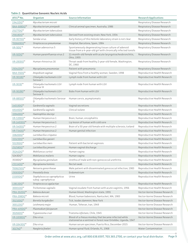| ATCC <sup>®</sup> No. | <b>Organism</b>                                      | <b>Source Information</b>                                                                                               | <b>Research Applications</b>  |
|-----------------------|------------------------------------------------------|-------------------------------------------------------------------------------------------------------------------------|-------------------------------|
| 19422DQ™              | Mycobacterium microti                                |                                                                                                                         | Respiratory Disease Research  |
| BAA-688DQ™            | Mycobacterium pinnipedii                             | Clinical animal specimen, Australia, 1986                                                                               | Respiratory Disease Research  |
| 25177DQ™              | Mycobacterium tuberculosis                           |                                                                                                                         | Respiratory Disease Research  |
| 25618DQ™              | Mycobacterium tuberculosis                           | Derived from existing strain; New York, 1934                                                                            | Respiratory Disease Research  |
| VR-907DQ™             | Sendai virus                                         | Early history of this Helsinki laboratory strain is not clear                                                           | Respiratory Disease Research  |
| 700669DQ™             | Streptococcus pneumoniae                             | Hospital, Barcelona, Spain, 1984                                                                                        | Respiratory Disease Research  |
| $VR-5DQ^m$            | Human adenovirus 5                                   | Spontaneously degenerating tissue culture of adenoid<br>tissue from a 4-year-old girl with chronically infected tonsils | Respiratory Disease Research  |
| VR-92DQ™              | Human parainfluenza virus 2                          | 11-month-old female with acute laryngotracheobronchitis,<br>Ohio. 1955                                                  | Respiratory Disease Research  |
| VR-283DQ™             | Human rhinovirus 16                                  | Throat swab from healthy 2-year-old female, Washington,<br>DC, 1960                                                     | Respiratory Disease Research  |
| 29342DQ™              | Mycoplasma pneumoniae                                | Patient with pneumonia                                                                                                  | Respiratory Disease Research  |
| BAA-55DQ™             | Atopobium vaginae                                    | Vaginal flora from a healthy woman, Sweden, 1998                                                                        | Reproductive Health Research  |
| VR-901BD™             | Chlamydia trachomatis LGV<br>Serovar I               | Lymph node from human with LGV                                                                                          | Reproductive Health Research  |
| VR-903D™              | Chlamydia trachomatis LGV<br>Serovar III             | Lymph node from human with LGV                                                                                          | Reproductive Health Research  |
| VR-902BD™             | Chlamydia trachomatis LGV<br>Serovar II              | Bubo from human with LGV                                                                                                | Reproductive Health Research  |
| VR-885DQ™             | Chlamydia trachomatis Serovar<br>D.                  | Human cervix, asymptomatic                                                                                              | Reproductive Health Research  |
| 14019DQ™              | Gardnerella vaginalis                                | Vaginal secretions                                                                                                      | Reproductive Health Research  |
| 49145DQ™              | Gardnerella vaginalis                                | Clinical isolate                                                                                                        | Reproductive Health Research  |
| 33940DQ™              | Haemophilus ducreyi                                  |                                                                                                                         | Reproductive Health Research  |
| VR-539DQ™             | Human Herpesvirus 1                                  | Brain, human, encephalitis                                                                                              | Reproductive Health Research  |
| VR-1493DQ™            | Human Herpesvirus 1                                  | Lip lesion of human with cold sore                                                                                      | Reproductive Health Research  |
| VR-540DQ™             | Human Herpesvirus 2                                  | Brain of a 50 year old female with multiple sclerosis; Iceland                                                          | Reproductive Health Research  |
| VR-734DQ™             | Human Herpesvirus 2                                  | Human genital infection                                                                                                 | Reproductive Health Research  |
| 33820DQ™              | Lactobacillus crispatus                              |                                                                                                                         | Reproductive Health Research  |
| 33323DQ™              | Lactobacillus gasseri                                |                                                                                                                         | Reproductive Health Research  |
| 55195DQ™              | Lactobacillus iners                                  | Patient with bacterial vaginosis                                                                                        | Reproductive Health Research  |
| 25258DQ™              | Lactobacillus jensenii                               | Human vaginal discharge                                                                                                 | Reproductive Health Research  |
| 35241DQ™              | Mobiluncus curtisii                                  | Human vagina                                                                                                            | Reproductive Health Research  |
| 5243DQ™               | Mobiluncus mulieris                                  | Human vagina                                                                                                            | Reproductive Health Research  |
| 3530DQ™               | Mycoplasma genitalium                                | Urethra of male with non-gonococcal urethritis                                                                          | Reproductive Health Research  |
| 23114DQ™              | Mycoplasma hominis                                   | Rectal swab                                                                                                             | Reproductive Health Research  |
| 700825DQ™             | Neisseria gonorrhoeae                                | Male patient with disseminated gonococcal infection; 1983                                                               | Reproductive Health Research  |
| 29303DQ™              | Prevotella bivia                                     | Endometrium                                                                                                             | Reproductive Health Research  |
| 15305DQ™              | Staphylococcus saprophyticus<br>subsp. saprophyticus | Urine                                                                                                                   | Reproductive Health Research  |
| 13813DQ™              | Streptococcus agalactiae                             |                                                                                                                         | Reproductive Health Research  |
| 30001DQ™              | Trichomonas vaginalis                                | Vaginal exudate from human with acute vaginitis, 1956                                                                   | Reproductive Health Research  |
| PRA-302DQ™            | Babesia duncani                                      | Human blood, Washington state, 1991                                                                                     | Vector-borne Disease Research |
| PRA-398DQ™            | Babesia microti                                      | Blood, human babesiosis, Nantucket, MA, 1983                                                                            | Vector-borne Disease Research |
| 35210DQ™              | Borrelia burgdorferi                                 | Tick, Ixodes dammini; New York                                                                                          | Vector-borne Disease Research |
| 30012DQ™              | Leishmania major                                     | Human, Teheran, Iran, 1949                                                                                              | Vector-borne Disease Research |
| PRA-405DQ™            | Plasmodium falciparum                                |                                                                                                                         | Vector-borne Disease Research |
| 30266DQ™              | Trypanosoma cruzi                                    | Triatoma infestans, Chile, 1945                                                                                         | Vector-borne Disease Research |
| VR-1838DQ™            | Zika virus                                           | Blood of a rhesus monkey that became infected while<br>stationed as a sentinel in forest near Entebbe, Uganda, 1947     | Vector-borne Disease Research |
| VR-1843DQ™            | Zika virus                                           | Human serum specimen, Puerto Rico, December 2015                                                                        | Vector-borne Disease Research |
| 30174D™               | Naegleria fowleri                                    | Human spinal fluid; Orlando, FL, 1968                                                                                   | <b>Water Contamination</b>    |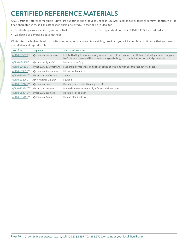### **CERTIFIED REFERENCE MATERIALS**

ATCC Certified Reference Materials (CRMs) are quantified and produced under an ISO 17034 accredited process to confirm identity, well-defined characteristics, and an established chain of custody. These tools are ideal for:

- Establishing assay specificity and sensitivity
- Testing and calibration in ISO/IEC 17025 accredited labs

**Validating or comparing test methods** 

CRMs offer the highest level of quality assurance, accuracy, and traceability, providing you with complete confidence that your results are reliable and reproducible.

| ATCC <sup>®</sup> No. | <b>Organism</b>          | <b>Source Information</b>                                                                                                                                                                                      |
|-----------------------|--------------------------|----------------------------------------------------------------------------------------------------------------------------------------------------------------------------------------------------------------|
| qCRM-15531D™          | Mycoplasma pneumoniae    | Isolated by Hayflick from monkey kidney tissue-culture fluids of the FH strain (Eaton Agent Virus) supplied<br>by C. Liu, who recovered this strain in embryonated eggs from a student with atypical pneumonia |
| qCRM-17981D™          | Mycoplasma hyorhinis     | Nasal cavity of pig                                                                                                                                                                                            |
| qCRM-19610D™          | Mycoplasma gallisepticum | Suspension of tracheal and airsac tissues of chickens with chronic respiratory disease                                                                                                                         |
| qCRM-19989D™          | Mycoplasma fermentans    | Ulcerative balanitis                                                                                                                                                                                           |
| qCRM-23064D™          | Mycoplasma salivarium    | Saliva                                                                                                                                                                                                         |
| qCRM-23206D™          | Acholeplasma laidlawii   | Sewage                                                                                                                                                                                                         |
| qCRM-23714D™          | Mycoplasma orale         | Oropharynx of child, Washington, DC                                                                                                                                                                            |
| gCRM-23838D™          | Mycoplasma arginine      | Mouse brain experimentally infected with scrapies                                                                                                                                                              |
| gCRM-25204D™          | Mycoplasma synoviae      | Hock joint of chicken                                                                                                                                                                                          |
| qCRM-27545D™          | Mycoplasma hominis       | Human blood culture                                                                                                                                                                                            |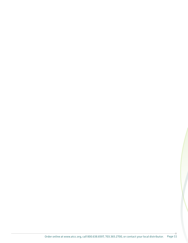Order online at www.atcc.org, call 800.638.6597, 703.365.2700, or contact your local distributor. Page 11